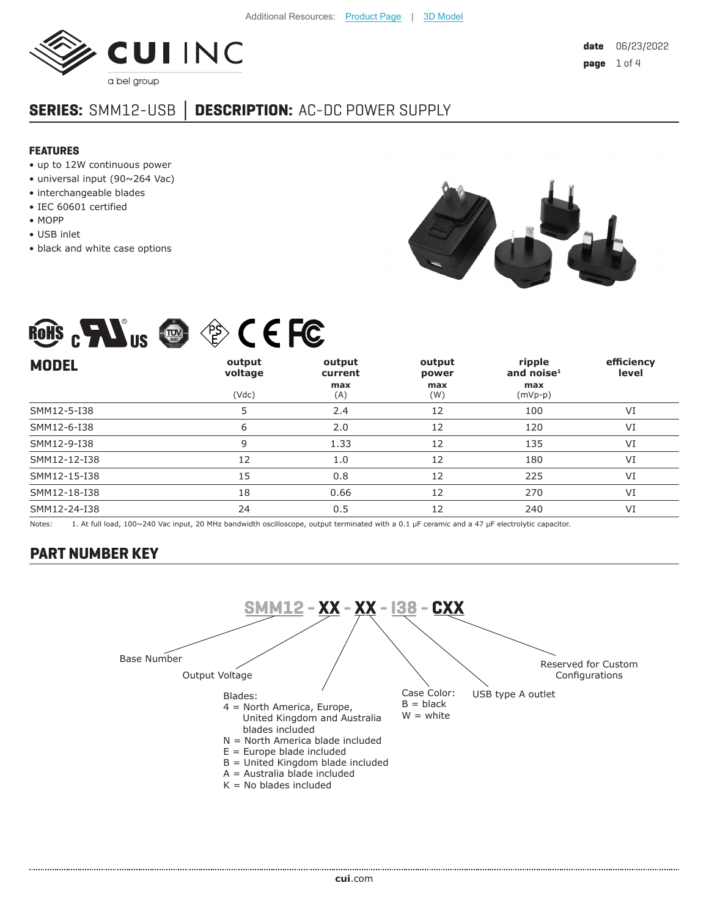

# **SERIES:** SMM12-USB **│ DESCRIPTION:** AC-DC POWER SUPPLY

#### **FEATURES**

- up to 12W continuous power
- universal input (90~264 Vac)
- interchangeable blades
- IEC 60601 certified
- MOPP
- USB inlet
- black and white case options



# ROHS  $_{c}$  Mus  $\oplus$   $\otimes$  C E FC

| <b>MODEL</b> | output<br>voltage<br>(Vdc) | output<br>current<br>max<br>(A) | output<br>power<br>max<br>(W) | ripple<br>and noise $1$<br>max<br>$(mVp-p)$ | efficiency<br>level |
|--------------|----------------------------|---------------------------------|-------------------------------|---------------------------------------------|---------------------|
| SMM12-5-I38  | 5                          | 2.4                             | 12                            | 100                                         | VI                  |
| SMM12-6-I38  | 6                          | 2.0                             | 12                            | 120                                         | VI                  |
| SMM12-9-I38  | 9                          | 1.33                            | 12                            | 135                                         | VI                  |
| SMM12-12-I38 | 12                         | 1.0                             | 12                            | 180                                         | VI                  |
| SMM12-15-I38 | 15                         | 0.8                             | 12                            | 225                                         | VI                  |
| SMM12-18-I38 | 18                         | 0.66                            | 12                            | 270                                         | VI                  |
| SMM12-24-I38 | 24                         | 0.5                             | 12                            | 240                                         | VI                  |
|              |                            |                                 |                               |                                             |                     |

Notes: 1. At full load, 100~240 Vac input, 20 MHz bandwidth oscilloscope, output terminated with a 0.1 µF ceramic and a 47 µF electrolytic capacitor.

#### **PART NUMBER KEY**

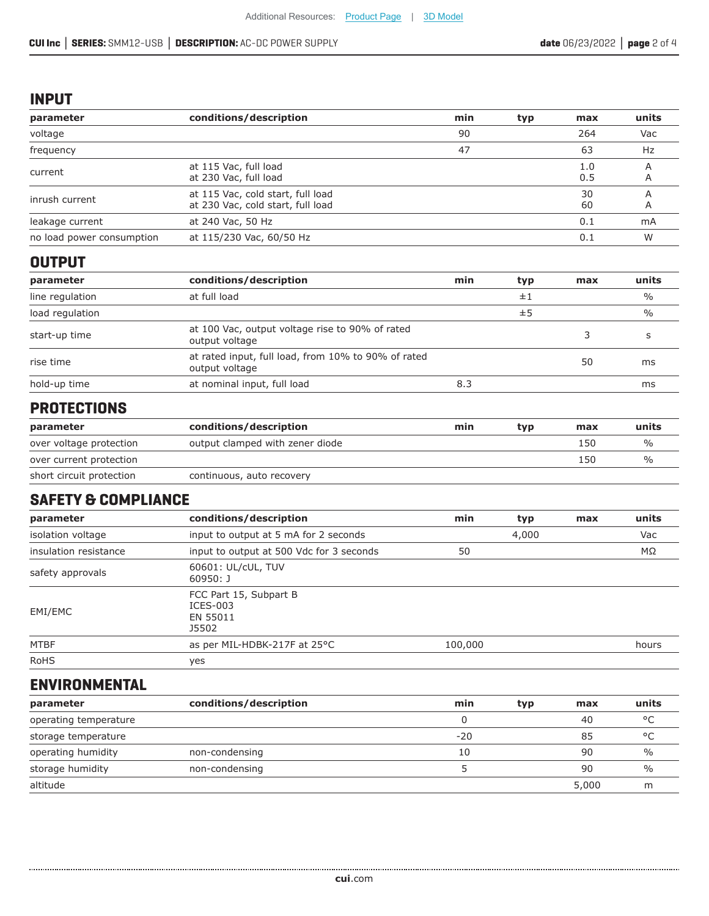#### **INPUT**

| parameter                 | conditions/description                                                 | min | typ | max        | units         |
|---------------------------|------------------------------------------------------------------------|-----|-----|------------|---------------|
| voltage                   |                                                                        | 90  |     | 264        | Vac           |
| frequency                 |                                                                        | 47  |     | 63         | Hz            |
| current                   | at 115 Vac, full load<br>at 230 Vac, full load                         |     |     | 1.0<br>0.5 | A<br>A        |
| inrush current            | at 115 Vac, cold start, full load<br>at 230 Vac, cold start, full load |     |     | 30<br>60   | Α<br>A        |
| leakage current           | at 240 Vac, 50 Hz                                                      |     |     | 0.1        | mA            |
| no load power consumption | at 115/230 Vac, 60/50 Hz                                               |     |     | 0.1        | W             |
| <b>OUTPUT</b>             |                                                                        |     |     |            |               |
| parameter                 | conditions/description                                                 | min | typ | max        | units         |
| line regulation           | at full load                                                           |     | ±1  |            | $\frac{0}{0}$ |

| line regulation | at full load                                                          |     | ±1 |    | $\frac{0}{0}$ |
|-----------------|-----------------------------------------------------------------------|-----|----|----|---------------|
| load regulation |                                                                       |     | ±5 |    | $\frac{0}{0}$ |
| start-up time   | at 100 Vac, output voltage rise to 90% of rated<br>output voltage     |     |    |    |               |
| rise time       | at rated input, full load, from 10% to 90% of rated<br>output voltage |     |    | 50 | ms            |
| hold-up time    | at nominal input, full load                                           | 8.3 |    |    | ms            |

#### **PROTECTIONS**

| parameter                | conditions/description          | min | tvp | max | units         |
|--------------------------|---------------------------------|-----|-----|-----|---------------|
| over voltage protection  | output clamped with zener diode |     |     | 150 | $\frac{0}{0}$ |
| over current protection  |                                 |     |     | 150 | $\%$          |
| short circuit protection | continuous, auto recovery       |     |     |     |               |

#### **SAFETY & COMPLIANCE**

| parameter             | conditions/description                                    | min     | typ | max | units |
|-----------------------|-----------------------------------------------------------|---------|-----|-----|-------|
| isolation voltage     | input to output at 5 mA for 2 seconds                     | 4,000   |     |     | Vac   |
| insulation resistance | input to output at 500 Vdc for 3 seconds                  | 50      |     |     | ΜΩ    |
| safety approvals      | 60601: UL/cUL, TUV<br>$60950:$ J                          |         |     |     |       |
| EMI/EMC               | FCC Part 15, Subpart B<br>$ICES-003$<br>EN 55011<br>J5502 |         |     |     |       |
| <b>MTBF</b>           | as per MIL-HDBK-217F at 25°C                              | 100,000 |     |     | hours |
| <b>RoHS</b>           | yes                                                       |         |     |     |       |

### **ENVIRONMENTAL**

| parameter             | conditions/description | min   | typ | max   | units         |
|-----------------------|------------------------|-------|-----|-------|---------------|
| operating temperature |                        |       |     | 40    | $\circ$       |
| storage temperature   |                        | $-20$ |     | 85    | $\circ$       |
| operating humidity    | non-condensing         | 10    |     | 90    | $\frac{0}{0}$ |
| storage humidity      | non-condensing         |       |     | 90    | $\frac{0}{0}$ |
| altitude              |                        |       |     | 5,000 |               |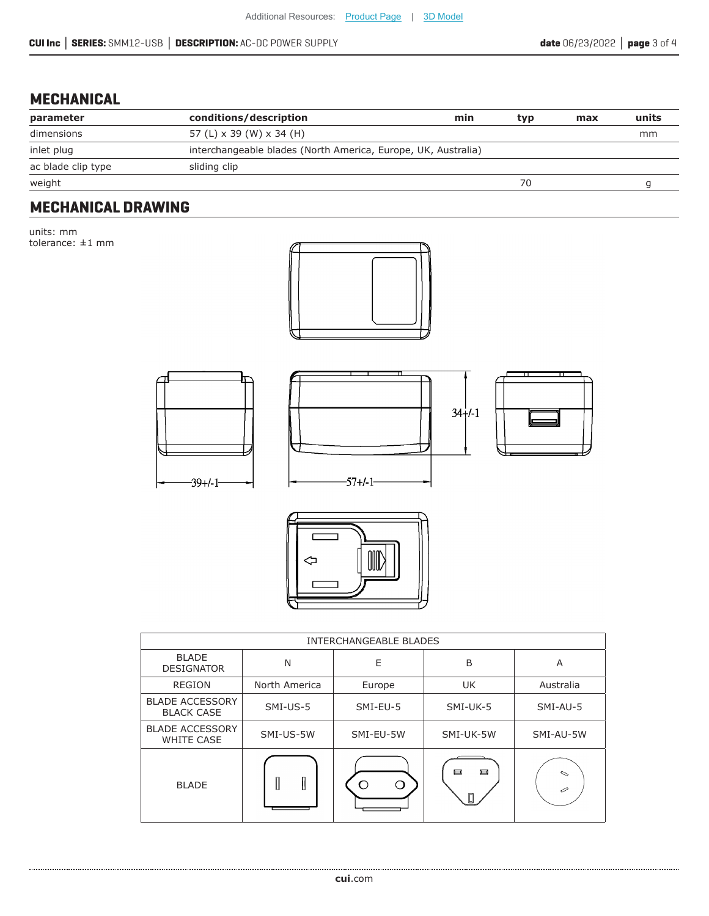#### **MECHANICAL**

| parameter          | conditions/description                                        | min | tvp | max | units |
|--------------------|---------------------------------------------------------------|-----|-----|-----|-------|
| dimensions         | 57 (L) x 39 (W) x 34 (H)                                      |     |     |     | mm    |
| inlet plug         | interchangeable blades (North America, Europe, UK, Australia) |     |     |     |       |
| ac blade clip type | sliding clip                                                  |     |     |     |       |
| weight             |                                                               |     |     |     |       |

## **MECHANICAL DRAWING**

units: mm tolerance: ±1 mm











| <b>INTERCHANGEABLE BLADES</b>               |               |           |             |             |  |  |
|---------------------------------------------|---------------|-----------|-------------|-------------|--|--|
| <b>BLADE</b><br><b>DESIGNATOR</b>           | N             | E         | B           | A           |  |  |
| <b>REGION</b>                               | North America | Europe    | <b>UK</b>   | Australia   |  |  |
| <b>BLADE ACCESSORY</b><br><b>BLACK CASE</b> | SMI-US-5      | SMI-EU-5  | SMI-UK-5    | SMI-AU-5    |  |  |
| <b>BLADE ACCESSORY</b><br><b>WHITE CASE</b> | SMI-US-5W     | SMI-EU-5W | SMI-UK-5W   | SMI-AU-5W   |  |  |
| <b>BLADE</b>                                | I<br>I        | (1        | 戸<br>戸<br>Π | $\sim$<br>⊘ |  |  |